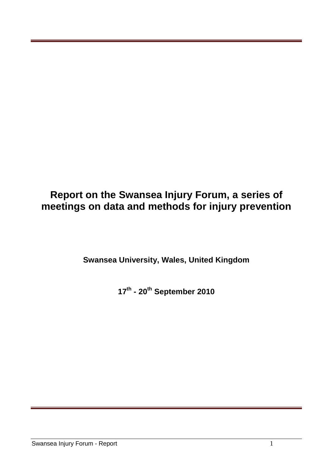# **Report on the Swansea Injury Forum, a series of meetings on data and methods for injury prevention**

**Swansea University, Wales, United Kingdom**

**17th - 20th September 2010**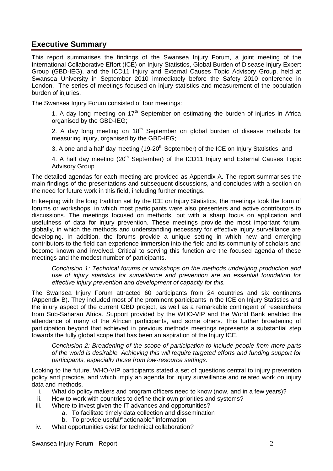### **Executive Summary**

This report summarises the findings of the Swansea Injury Forum, a joint meeting of the International Collaborative Effort (ICE) on Injury Statistics, Global Burden of Disease Injury Expert Group (GBD-IEG), and the ICD11 Injury and External Causes Topic Advisory Group, held at Swansea University in September 2010 immediately before the Safety 2010 conference in London. The series of meetings focused on injury statistics and measurement of the population burden of injuries.

The Swansea Injury Forum consisted of four meetings:

1. A day long meeting on  $17<sup>th</sup>$  September on estimating the burden of injuries in Africa organised by the GBD-IEG;

2. A day long meeting on  $18<sup>th</sup>$  September on global burden of disease methods for measuring injury, organised by the GBD-IEG;

3. A one and a half day meeting (19-20<sup>th</sup> September) of the ICE on Injury Statistics; and

4. A half day meeting (20<sup>th</sup> September) of the ICD11 Injury and External Causes Topic Advisory Group

The detailed agendas for each meeting are provided as Appendix A. The report summarises the main findings of the presentations and subsequent discussions, and concludes with a section on the need for future work in this field, including further meetings.

In keeping with the long tradition set by the ICE on Injury Statistics, the meetings took the form of forums or workshops, in which most participants were also presenters and active contributors to discussions. The meetings focused on methods, but with a sharp focus on application and usefulness of data for injury prevention. These meetings provide the most important forum, globally, in which the methods and understanding necessary for effective injury surveillance are developing. In addition, the forums provide a unique setting in which new and emerging contributors to the field can experience immersion into the field and its community of scholars and become known and involved. Critical to serving this function are the focused agenda of these meetings and the modest number of participants.

*Conclusion 1: Technical forums or workshops on the methods underlying production and use of injury statistics for surveillance and prevention are an essential foundation for effective injury prevention and development of capacity for this.*

The Swansea Injury Forum attracted 60 participants from 24 countries and six continents (Appendix B). They included most of the prominent participants in the ICE on Injury Statistics and the injury aspect of the current GBD project, as well as a remarkable contingent of researchers from Sub-Saharan Africa. Support provided by the WHO-VIP and the World Bank enabled the attendance of many of the African participants, and some others. This further broadening of participation beyond that achieved in previous methods meetings represents a substantial step towards the fully global scope that has been an aspiration of the Injury ICE.

*Conclusion 2: Broadening of the scope of participation to include people from more parts of the world is desirable. Achieving this will require targeted efforts and funding support for participants, especially those from low-resource settings.* 

Looking to the future, WHO-VIP participants stated a set of questions central to injury prevention policy and practice, and which imply an agenda for injury surveillance and related work on injury data and methods.

- i. What do policy makers and program officers need to know (now, and in a few years)?
- ii. How to work with countries to define their own priorities and systems?
- iii. Where to invest given the IT advances and opportunities?
	- a. To facilitate timely data collection and dissemination
		- b. To provide useful/"actionable" information
- iv. What opportunities exist for technical collaboration?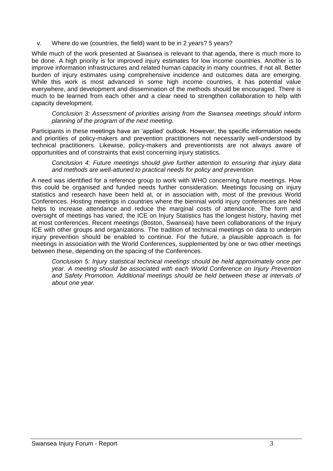v. Where do we (countries, the field) want to be in 2 years? 5 years?

While much of the work presented at Swansea is relevant to that agenda, there is much more to be done. A high priority is for improved injury estimates for low income countries. Another is to improve information infrastructures and related human capacity in many countries, if not all. Better burden of injury estimates using comprehensive incidence and outcomes data are emerging. While this work is most advanced in some high income countries, it has potential value everywhere, and development and dissemination of the methods should be encouraged. There is much to be learned from each other and a clear need to strengthen collaboration to help with capacity development.

*Conclusion 3: Assessment of priorities arising from the Swansea meetings should inform planning of the program of the next meeting.* 

Participants in these meetings have an "applied" outlook. However, the specific information needs and priorities of policy-makers and prevention practitioners not necessarily well-understood by technical practitioners. Likewise, policy-makers and preventionists are not always aware of opportunities and of constraints that exist concerning injury statistics.

*Conclusion 4: Future meetings should give further attention to ensuring that injury data and methods are well-attuned to practical needs for policy and prevention.*

A need was identified for a reference group to work with WHO concerning future meetings. How this could be organised and funded needs further consideration. Meetings focusing on injury statistics and research have been held at, or in association with, most of the previous World Conferences. Hosting meetings in countries where the biennial world injury conferences are held helps to increase attendance and reduce the marginal costs of attendance. The form and oversight of meetings has varied; the ICE on Injury Statistics has the longest history, having met at most conferences. Recent meetings (Boston, Swansea) have been collaborations of the Injury ICE with other groups and organizations. The tradition of technical meetings on data to underpin injury prevention should be enabled to continue. For the future, a plausible approach is for meetings in association with the World Conferences, supplemented by one or two other meetings between these, depending on the spacing of the Conferences.

*Conclusion 5: Injury statistical technical meetings should be held approximately once per year. A meeting should be associated with each World Conference on Injury Prevention and Safety Promotion. Additional meetings should be held between these at intervals of about one year.*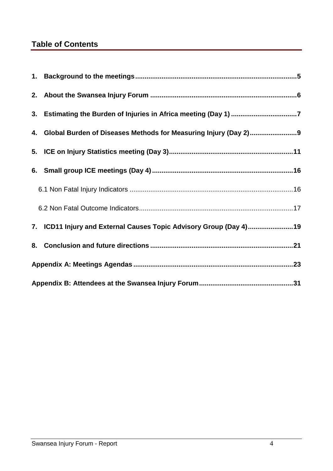# **Table of Contents**

|  | 3. Estimating the Burden of Injuries in Africa meeting (Day 1) 7   |  |  |  |  |
|--|--------------------------------------------------------------------|--|--|--|--|
|  | 4. Global Burden of Diseases Methods for Measuring Injury (Day 2)9 |  |  |  |  |
|  |                                                                    |  |  |  |  |
|  |                                                                    |  |  |  |  |
|  |                                                                    |  |  |  |  |
|  |                                                                    |  |  |  |  |
|  | 7. ICD11 Injury and External Causes Topic Advisory Group (Day 4)19 |  |  |  |  |
|  |                                                                    |  |  |  |  |
|  |                                                                    |  |  |  |  |
|  |                                                                    |  |  |  |  |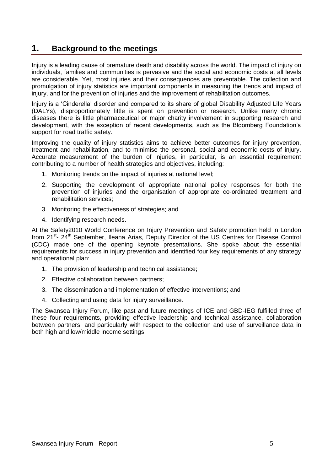### <span id="page-4-0"></span>**1. Background to the meetings**

Injury is a leading cause of premature death and disability across the world. The impact of injury on individuals, families and communities is pervasive and the social and economic costs at all levels are considerable. Yet, most injuries and their consequences are preventable. The collection and promulgation of injury statistics are important components in measuring the trends and impact of injury, and for the prevention of injuries and the improvement of rehabilitation outcomes.

Injury is a "Cinderella" disorder and compared to its share of global Disability Adjusted Life Years (DALYs), disproportionately little is spent on prevention or research. Unlike many chronic diseases there is little pharmaceutical or major charity involvement in supporting research and development, with the exception of recent developments, such as the Bloomberg Foundation"s support for road traffic safety.

Improving the quality of injury statistics aims to achieve better outcomes for injury prevention, treatment and rehabilitation, and to minimise the personal, social and economic costs of injury. Accurate measurement of the burden of injuries, in particular, is an essential requirement contributing to a number of health strategies and objectives, including:

- 1. Monitoring trends on the impact of injuries at national level;
- 2. Supporting the development of appropriate national policy responses for both the prevention of injuries and the organisation of appropriate co-ordinated treatment and rehabilitation services;
- 3. Monitoring the effectiveness of strategies; and
- 4. Identifying research needs.

At the Safety2010 World Conference on Injury Prevention and Safety promotion held in London from 21<sup>st</sup>- 24<sup>th</sup> September, Ileana Arias, Deputy Director of the US Centres for Disease Control (CDC) made one of the opening keynote presentations. She spoke about the essential requirements for success in injury prevention and identified four key requirements of any strategy and operational plan:

- 1. The provision of leadership and technical assistance;
- 2. Effective collaboration between partners;
- 3. The dissemination and implementation of effective interventions; and
- 4. Collecting and using data for injury surveillance.

The Swansea Injury Forum, like past and future meetings of ICE and GBD-IEG fulfilled three of these four requirements, providing effective leadership and technical assistance, collaboration between partners, and particularly with respect to the collection and use of surveillance data in both high and low/middle income settings.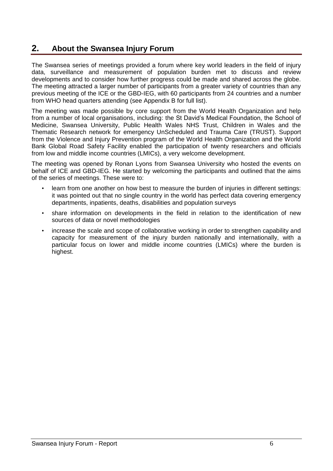### <span id="page-5-0"></span>**2. About the Swansea Injury Forum**

The Swansea series of meetings provided a forum where key world leaders in the field of injury data, surveillance and measurement of population burden met to discuss and review developments and to consider how further progress could be made and shared across the globe. The meeting attracted a larger number of participants from a greater variety of countries than any previous meeting of the ICE or the GBD-IEG, with 60 participants from 24 countries and a number from WHO head quarters attending (see Appendix B for full list).

The meeting was made possible by core support from the World Health Organization and help from a number of local organisations, including: the St David"s Medical Foundation, the School of Medicine, Swansea University, Public Health Wales NHS Trust, Children in Wales and the Thematic Research network for emergency UnScheduled and Trauma Care (TRUST). Support from the Violence and Injury Prevention program of the World Health Organization and the World Bank Global Road Safety Facility enabled the participation of twenty researchers and officials from low and middle income countries (LMICs), a very welcome development.

The meeting was opened by Ronan Lyons from Swansea University who hosted the events on behalf of ICE and GBD-IEG. He started by welcoming the participants and outlined that the aims of the series of meetings. These were to:

- learn from one another on how best to measure the burden of injuries in different settings: it was pointed out that no single country in the world has perfect data covering emergency departments, inpatients, deaths, disabilities and population surveys
- share information on developments in the field in relation to the identification of new sources of data or novel methodologies
- increase the scale and scope of collaborative working in order to strengthen capability and capacity for measurement of the injury burden nationally and internationally, with a particular focus on lower and middle income countries (LMICs) where the burden is highest.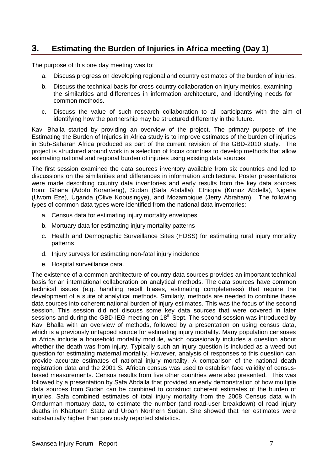# <span id="page-6-0"></span>**3. Estimating the Burden of Injuries in Africa meeting (Day 1)**

The purpose of this one day meeting was to:

- a. Discuss progress on developing regional and country estimates of the burden of injuries.
- b. Discuss the technical basis for cross-country collaboration on injury metrics, examining the similarities and differences in information architecture, and identifying needs for common methods.
- c. Discuss the value of such research collaboration to all participants with the aim of identifying how the partnership may be structured differently in the future.

Kavi Bhalla started by providing an overview of the project. The primary purpose of the Estimating the Burden of Injuries in Africa study is to improve estimates of the burden of injuries in Sub-Saharan Africa produced as part of the current revision of the GBD-2010 study. The project is structured around work in a selection of focus countries to develop methods that allow estimating national and regional burden of injuries using existing data sources.

The first session examined the data sources inventory available from six countries and led to discussions on the similarities and differences in information architecture. Poster presentations were made describing country data inventories and early results from the key data sources from: Ghana (Adofo Koranteng), Sudan (Safa Abdalla), Ethiopia (Kunuz Abdella), Nigeria (Uwom Eze), Uganda (Olive Kobusingye), and Mozambique (Jerry Abraham). The following types of common data types were identified from the national data inventories:

- a. Census data for estimating injury mortality envelopes
- b. Mortuary data for estimating injury mortality patterns
- c. Health and Demographic Surveillance Sites (HDSS) for estimating rural injury mortality patterns
- d. Injury surveys for estimating non-fatal injury incidence
- e. Hospital surveillance data.

The existence of a common architecture of country data sources provides an important technical basis for an international collaboration on analytical methods. The data sources have common technical issues (e.g. handling recall biases, estimating completeness) that require the development of a suite of analytical methods. Similarly, methods are needed to combine these data sources into coherent national burden of injury estimates. This was the focus of the second session. This session did not discuss some key data sources that were covered in later sessions and during the GBD-IEG meeting on 18<sup>th</sup> Sept. The second session was introduced by Kavi Bhalla with an overview of methods, followed by a presentation on using census data, which is a previously untapped source for estimating injury mortality. Many population censuses in Africa include a household mortality module, which occasionally includes a question about whether the death was from injury. Typically such an injury question is included as a weed-out question for estimating maternal mortality. However, analysis of responses to this question can provide accurate estimates of national injury mortality. A comparison of the national death registration data and the 2001 S. African census was used to establish face validity of censusbased measurements. Census results from five other countries were also presented. This was followed by a presentation by Safa Abdalla that provided an early demonstration of how multiple data sources from Sudan can be combined to construct coherent estimates of the burden of injuries. Safa combined estimates of total injury mortality from the 2008 Census data with Omdurman mortuary data, to estimate the number (and road-user breakdown) of road injury deaths in Khartoum State and Urban Northern Sudan. She showed that her estimates were substantially higher than previously reported statistics.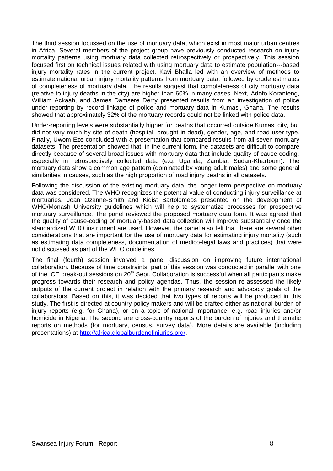The third session focussed on the use of mortuary data, which exist in most major urban centres in Africa. Several members of the project group have previously conducted research on injury mortality patterns using mortuary data collected retrospectively or prospectively. This session focused first on technical issues related with using mortuary data to estimate population--‐based injury mortality rates in the current project. Kavi Bhalla led with an overview of methods to estimate national urban injury mortality patterns from mortuary data, followed by crude estimates of completeness of mortuary data. The results suggest that completeness of city mortuary data (relative to injury deaths in the city) are higher than 60% in many cases. Next, Adofo Koranteng, William Ackaah, and James Damsere Derry presented results from an investigation of police under-reporting by record linkage of police and mortuary data in Kumasi, Ghana. The results showed that approximately 32% of the mortuary records could not be linked with police data.

Under-reporting levels were substantially higher for deaths that occurred outside Kumasi city, but did not vary much by site of death (hospital, brought-in-dead), gender, age, and road-user type. Finally, Uwom Eze concluded with a presentation that compared results from all seven mortuary datasets. The presentation showed that, in the current form, the datasets are difficult to compare directly because of several broad issues with mortuary data that include quality of cause coding, especially in retrospectively collected data (e.g. Uganda, Zambia, Sudan-Khartoum). The mortuary data show a common age pattern (dominated by young adult males) and some general similarities in causes, such as the high proportion of road injury deaths in all datasets.

Following the discussion of the existing mortuary data, the longer-term perspective on mortuary data was considered. The WHO recognizes the potential value of conducting injury surveillance at mortuaries. Joan Ozanne-Smith and Kidist Bartolomeos presented on the development of WHO/Monash University guidelines which will help to systematize processes for prospective mortuary surveillance. The panel reviewed the proposed mortuary data form. It was agreed that the quality of cause-coding of mortuary-based data collection will improve substantially once the standardized WHO instrument are used. However, the panel also felt that there are several other considerations that are important for the use of mortuary data for estimating injury mortality (such as estimating data completeness, documentation of medico-legal laws and practices) that were not discussed as part of the WHO guidelines.

The final (fourth) session involved a panel discussion on improving future international collaboration. Because of time constraints, part of this session was conducted in parallel with one of the ICE break-out sessions on  $20<sup>th</sup>$  Sept. Collaboration is successful when all participants make progress towards their research and policy agendas. Thus, the session re-assessed the likely outputs of the current project in relation with the primary research and advocacy goals of the collaborators. Based on this, it was decided that two types of reports will be produced in this study. The first is directed at country policy makers and will be crafted either as national burden of injury reports (e.g. for Ghana), or on a topic of national importance, e.g. road injuries and/or homicide in Nigeria. The second are cross-country reports of the burden of injuries and thematic reports on methods (for mortuary, census, survey data). More details are available (including presentations) at [http://africa.globalburdenofinjuries.org/.](http://africa.globalburdenofinjuries.org/)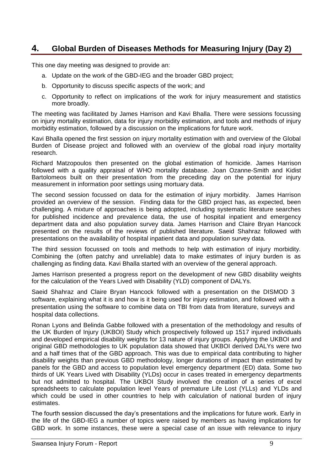### <span id="page-8-0"></span>**4. Global Burden of Diseases Methods for Measuring Injury (Day 2)**

This one day meeting was designed to provide an:

- a. Update on the work of the GBD-IEG and the broader GBD project;
- b. Opportunity to discuss specific aspects of the work; and
- c. Opportunity to reflect on implications of the work for injury measurement and statistics more broadly.

The meeting was facilitated by James Harrison and Kavi Bhalla. There were sessions focussing on injury mortality estimation, data for injury morbidity estimation, and tools and methods of injury morbidity estimation, followed by a discussion on the implications for future work.

Kavi Bhalla opened the first session on injury mortality estimation with and overview of the Global Burden of Disease project and followed with an overview of the global road injury mortality research.

Richard Matzopoulos then presented on the global estimation of homicide. James Harrison followed with a quality appraisal of WHO mortality database. Joan Ozanne-Smith and Kidist Bartolomeos built on their presentation from the preceding day on the potential for injury measurement in information poor settings using mortuary data.

The second session focussed on data for the estimation of injury morbidity. James Harrison provided an overview of the session. Finding data for the GBD project has, as expected, been challenging. A mixture of approaches is being adopted, including systematic literature searches for published incidence and prevalence data, the use of hospital inpatient and emergency department data and also population survey data. James Harrison and Claire Bryan Hancock presented on the results of the reviews of published literature. Saeid Shahraz followed with presentations on the availability of hospital inpatient data and population survey data.

The third session focussed on tools and methods to help with estimation of injury morbidity. Combining the (often patchy and unreliable) data to make estimates of injury burden is as challenging as finding data. Kavi Bhalla started with an overview of the general approach.

James Harrison presented a progress report on the development of new GBD disability weights for the calculation of the Years Lived with Disability (YLD) component of DALYs.

Saeid Shahraz and Claire Bryan Hancock followed with a presentation on the DISMOD 3 software, explaining what it is and how is it being used for injury estimation, and followed with a presentation using the software to combine data on TBI from data from literature, surveys and hospital data collections.

Ronan Lyons and Belinda Gabbe followed with a presentation of the methodology and results of the UK Burden of Injury (UKBOI) Study which prospectively followed up 1517 injured individuals and developed empirical disability weights for 13 nature of injury groups. Applying the UKBOI and original GBD methodologies to UK population data showed that UKBOI derived DALYs were two and a half times that of the GBD approach. This was due to empirical data contributing to higher disability weights than previous GBD methodology, longer durations of impact than estimated by panels for the GBD and access to population level emergency department (ED) data. Some two thirds of UK Years Lived with Disability (YLDs) occur in cases treated in emergency departments but not admitted to hospital. The UKBOI Study involved the creation of a series of excel spreadsheets to calculate population level Years of premature Life Lost (YLLs) and YLDs and which could be used in other countries to help with calculation of national burden of injury estimates.

The fourth session discussed the day"s presentations and the implications for future work. Early in the life of the GBD-IEG a number of topics were raised by members as having implications for GBD work. In some instances, these were a special case of an issue with relevance to injury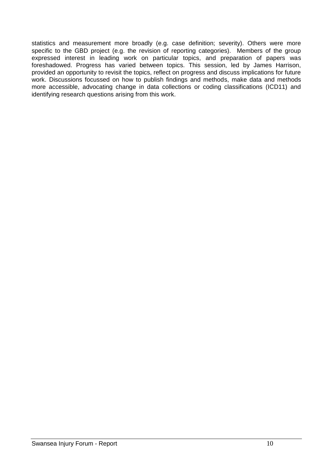statistics and measurement more broadly (e.g. case definition; severity). Others were more specific to the GBD project (e.g. the revision of reporting categories). Members of the group expressed interest in leading work on particular topics, and preparation of papers was foreshadowed. Progress has varied between topics. This session, led by James Harrison, provided an opportunity to revisit the topics, reflect on progress and discuss implications for future work. Discussions focussed on how to publish findings and methods, make data and methods more accessible, advocating change in data collections or coding classifications (ICD11) and identifying research questions arising from this work.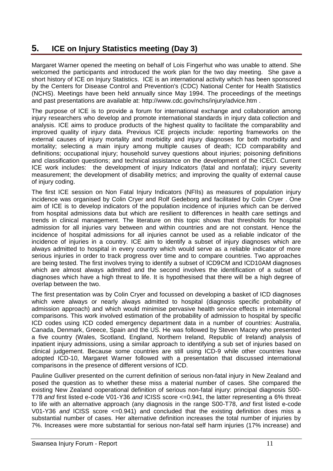# <span id="page-10-0"></span>**5. ICE on Injury Statistics meeting (Day 3)**

Margaret Warner opened the meeting on behalf of Lois Fingerhut who was unable to attend. She welcomed the participants and introduced the work plan for the two day meeting. She gave a short history of ICE on Injury Statistics. ICE is an international activity which has been sponsored by the Centers for Disease Control and Prevention's (CDC) National Center for Health Statistics (NCHS). Meetings have been held annually since May 1994. The proceedings of the meetings and past presentations are available at: http://www.cdc.gov/nchs/injury/advice.htm .

The purpose of ICE is to provide a forum for international exchange and collaboration among injury researchers who develop and promote international standards in injury data collection and analysis. ICE aims to produce products of the highest quality to facilitate the comparability and improved quality of injury data. Previous ICE projects include: reporting frameworks on the external causes of injury mortality and morbidity and injury diagnoses for both morbidity and mortality; selecting a main injury among multiple causes of death; ICD comparability and definitions; occupational injury; household survey questions about injuries; poisoning definitions and classification questions; and technical assistance on the development of the ICECI. Current ICE work includes: the development of injury Indicators (fatal and nonfatal); injury severity measurement; the development of disability metrics; and improving the quality of external cause of injury coding.

The first ICE session on Non Fatal Injury Indicators (NFIIs) as measures of population injury incidence was organised by Colin Cryer and Rolf Gedeborg and facilitated by Colin Cryer . One aim of ICE is to develop indicators of the population incidence of injuries which can be derived from hospital admissions data but which are resilient to differences in health care settings and trends in clinical management. The literature on this topic shows that thresholds for hospital admission for all injuries vary between and within countries and are not constant. Hence the incidence of hospital admissions for all injuries cannot be used as a reliable indicator of the incidence of injuries in a country. ICE aim to identify a subset of injury diagnoses which are always admitted to hospital in every country which would serve as a reliable indicator of more serious injuries in order to track progress over time and to compare countries. Two approaches are being tested. The first involves trying to identify a subset of ICD9CM and ICD10AM diagnoses which are almost always admitted and the second involves the identification of a subset of diagnoses which have a high threat to life. It is hypothesised that there will be a high degree of overlap between the two.

The first presentation was by Colin Cryer and focussed on developing a basket of ICD diagnoses which were always or nearly always admitted to hospital (diagnosis specific probability of admission approach) and which would minimise pervasive health service effects in international comparisons. This work involved estimation of the probability of admission to hospital by specific ICD codes using ICD coded emergency department data in a number of countries: Australia, Canada, Denmark, Greece, Spain and the US. He was followed by Steven Macey who presented a five country (Wales, Scotland, England, Northern Ireland, Republic of Ireland) analysis of inpatient injury admissions, using a similar approach to identifying a sub set of injuries based on clinical judgement. Because some countries are still using ICD-9 while other countries have adopted ICD-10, Margaret Warner followed with a presentation that discussed international comparisons in the presence of different versions of ICD.

Pauline Gulliver presented on the current definition of serious non-fatal injury in New Zealand and posed the question as to whether these miss a material number of cases. She compared the existing New Zealand ooperational definition of serious non-fatal injury: principal diagnosis S00- T78 *and* first listed e-code V01-Y36 *and* ICISS score <=0.941, the latter representing a 6% threat to life with an alternative approach (any diagnosis in the range S00-T78, *and* first listed e-code V01-Y36 *and* ICISS score <=0.941) and concluded that the existing definition does miss a substantial number of cases. Her alternative definition increases the total number of injuries by 7%. Increases were more substantial for serious non-fatal self harm injuries (17% increase) and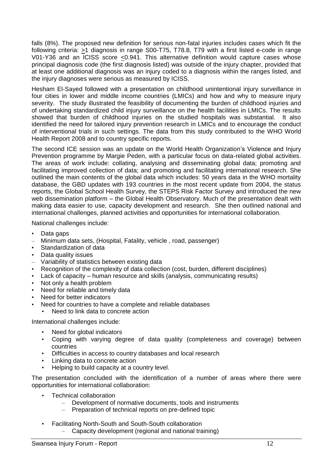falls (8%). The proposed new definition for serious non-fatal injuries includes cases which fit the following criteria:  $\geq$ 1 diagnosis in range S00-T75, T78.8, T79 with a first listed e-code in range V01-Y36 and an ICISS score  $\leq$ 0.941. This alternative definition would capture cases whose principal diagnosis code (the first diagnosis listed) was outside of the injury chapter, provided that at least one additional diagnosis was an injury coded to a diagnosis within the ranges listed, and the injury diagnoses were serious as measured by ICISS.

Hesham El-Sayed followed with a presentation on childhood unintentional injury surveillance in four cities in lower and middle income countries (LMICs) and how and why to measure injury severity. The study illustrated the feasibility of documenting the burden of childhood injuries and of undertaking standardized child injury surveillance on the health facilities in LMICs. The results showed that burden of childhood injuries on the studied hospitals was substantial. It also identified the need for tailored injury prevention research in LMICs and to encourage the conduct of interventional trials in such settings. The data from this study contributed to the WHO World Health Report 2008 and to country specific reports.

The second ICE session was an update on the World Health Organization"s Violence and Injury Prevention programme by Margie Peden, with a particular focus on data-related global activities. The areas of work include: collating, analysing and disseminating global data; promoting and facilitating improved collection of data; and promoting and facilitating international research. She outlined the main contents of the global data which includes: 50 years data in the WHO mortality database, the GBD updates with 193 countries in the most recent update from 2004, the status reports, the Global School Health Survey, the STEPS Risk Factor Survey and introduced the new web dissemination platform – the Global Health Observatory. Much of the presentation dealt with making data easier to use, capacity development and research. She then outlined national and international challenges, planned activities and opportunities for international collaboration.

National challenges include:

- Data gaps
- Minimum data sets, (Hospital, Fatality, vehicle , road, passenger)
- Standardization of data
- Data quality issues
- Variability of statistics between existing data
- Recognition of the complexity of data collection (cost, burden, different disciplines)
- Lack of capacity human resource and skills (analysis, communicating results)
- Not only a health problem
- Need for reliable and timely data
- Need for better indicators
- Need for countries to have a complete and reliable databases
- Need to link data to concrete action

International challenges include:

- Need for global indicators
- Coping with varying degree of data quality (completeness and coverage) between countries
- Difficulties in access to country databases and local research
- Linking data to concrete action
- Helping to build capacity at a country level.

The presentation concluded with the identification of a number of areas where there were opportunities for international collaboration:

- Technical collaboration
	- Development of normative documents, tools and instruments
	- Preparation of technical reports on pre-defined topic
- Facilitating North-South and South-South collaboration – Capacity development (regional and national training)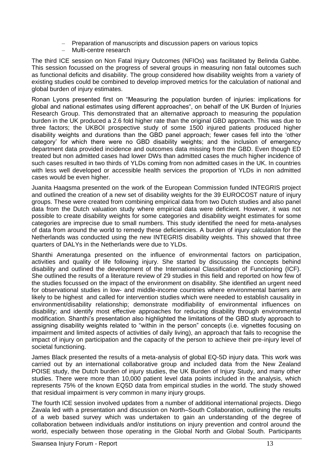- Preparation of manuscripts and discussion papers on various topics
- Multi-centre research

The third ICE session on Non Fatal Injury Outcomes (NFIOs) was facilitated by Belinda Gabbe. This session focussed on the progress of several groups in measuring non fatal outcomes such as functional deficits and disability. The group considered how disability weights from a variety of existing studies could be combined to develop improved metrics for the calculation of national and global burden of injury estimates.

Ronan Lyons presented first on "Measuring the population burden of injuries: implications for global and national estimates using different approaches", on behalf of the UK Burden of Injuries Research Group. This demonstrated that an alternative approach to measuring the population burden in the UK produced a 2.6 fold higher rate than the original GBD approach. This was due to three factors; the UKBOI prospective study of some 1500 injured patients produced higher disability weights and durations than the GBD panel approach; fewer cases fell into the "other category" for which there were no GBD disability weights; and the inclusion of emergency department data provided incidence and outcomes data missing from the GBD. Even though ED treated but non admitted cases had lower DWs than admitted cases the much higher incidence of such cases resulted in two thirds of YLDs coming from non admitted cases in the UK. In countries with less well developed or accessible health services the proportion of YLDs in non admitted cases would be even higher.

Juanita Haagsma presented on the work of the European Commission funded INTEGRIS project and outlined the creation of a new set of disability weights for the 39 EUROCOST nature of injury groups. These were created from combining empirical data from two Dutch studies and also panel data from the Dutch valuation study where empirical data were deficient. However, it was not possible to create disability weights for some categories and disability weight estimates for some categories are imprecise due to small numbers. This study identified the need for meta-analyses of data from around the world to remedy these deficiencies. A burden of injury calculation for the Netherlands was conducted using the new INTEGRIS disability weights. This showed that three quarters of DALYs in the Netherlands were due to YLDs.

Shanthi Ameratunga presented on the influence of environmental factors on participation, activities and quality of life following injury. She started by discussing the concepts behind disability and outlined the development of the International Classification of Functioning (ICF). She outlined the results of a literature review of 29 studies in this field and reported on how few of the studies focussed on the impact of the environment on disability. She identified an urgent need for observational studies in low- and middle-income countries where environmental barriers are likely to be highest and called for intervention studies which were needed to establish causality in environment/disability relationship; demonstrate modifiability of environmental influences on disability; and identify most effective approaches for reducing disability through environmental modification. Shanthi"s presentation also highlighted the limitations of the GBD study approach to assigning disability weights related to "within in the person" concepts (i.e. vignettes focusing on impairment and limited aspects of activities of daily living), an approach that fails to recognise the impact of injury on participation and the capacity of the person to achieve their pre-injury level of societal functioning.

James Black presented the results of a meta-analysis of global EQ-5D injury data. This work was carried out by an international collaborative group and included data from the New Zealand POISE study, the Dutch burden of injury studies, the UK Burden of Injury Study, and many other studies. There were more than 10,000 patient level data points included in the analysis, which represents 75% of the known EQ5D data from empirical studies in the world. The study showed that residual impairment is very common in many injury groups.

The fourth ICE session involved updates from a number of additional international projects. Diego Zavala led with a presentation and discussion on North–South Collaboration, outlining the results of a web based survey which was undertaken to gain an understanding of the degree of collaboration between individuals and/or institutions on injury prevention and control around the world, especially between those operating in the Global North and Global South. Participants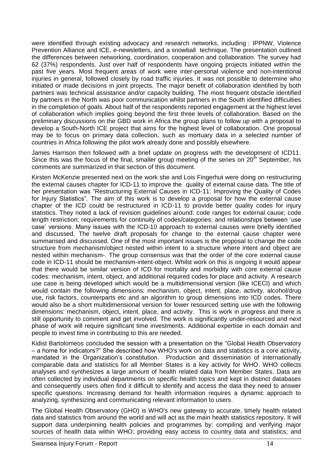were identified through existing advocacy and research networks, including : IPPNW, Violence Prevention Alliance and ICE, e-newsletters, and a snowball technique. The presentation outlined the differences between networking, coordination, cooperation and collaboration. The survey had 62 (37%) respondents. Just over half of respondents have ongoing projects initiated within the past five years. Most frequent areas of work were inter-personal violence and non-intentional injuries in general, followed closely by road traffic injuries. It was not possible to determine who initiated or made decisions in joint projects. The major benefit of collaboration identified by both partners was technical assistance and/or capacity building. The most frequent obstacle identified by partners in the North was poor communication whilst partners in the South identified difficulties in the completion of goals. About half of the respondents reported engagement at the highest level of collaboration which implies going beyond the first three levels of collaboration. Based on the preliminary discussions on the GBD work in Africa the group plans to follow up with a proposal to develop a South-North ICE project that aims for the highest level of collaboration. One proposal may be to focus on primary data collection, such as mortuary data in a selected number of countries in Africa following the pilot work already done and possibly elsewhere.

James Harrison then followed with a brief update on progress with the development of ICD11. Since this was the focus of the final, smaller group meeting of the series on  $20<sup>th</sup>$  September, his comments are summarized in that section of this document.

Kirsten McKenzie presented next on the work she and Lois Fingerhut were doing on restructuring the external causes chapter for ICD-11 to improve the quality of external cause data. The title of her presentation was "Restructuring External Causes in ICD-11: Improving the Quality of Codes for Injury Statistics". The aim of this work is to develop a proposal for how the external cause chapter of the ICD could be restructured in ICD-11 to provide better quality codes for injury statistics. They noted a lack of revision guidelines around: code ranges for external cause; code length restriction; requirements for continuity of codes/categories; and relationships between "use case" versions. Many issues with the ICD-10 approach to external causes were briefly identified and discussed. The twelve draft proposals for change to the external cause chapter were summarised and discussed. One of the most important issues is the proposal to change the code structure from mechanism/object nested within intent to a structure where intent and object are nested within mechanism-. The group consensus was that the order of the core external cause code in ICD-11 should be mechanism-intent-object. Whilst work on this is ongoing it would appear that there would be similar version of ICD for mortality and morbidity with core external cause codes: mechanism, intent, object, and additional required codes for place and activity. A research use case is being developed which would be a multidimensional version (like ICECI) and which would contain the following dimensions: mechanism, object, intent, place, activity, alcohol/drug use, risk factors, counterparts etc and an algorithm to group dimensions into ICD codes. There would also be a short multidimensional version for lower resourced setting use with the following dimensions: mechanism, object, intent, place, and activity. This is work in progress and there is still opportunity to comment and get involved. The work is significantly under-resourced and next phase of work will require significant time investments. Additional expertise in each domain and people to invest time in contributing to this are needed.

Kidist Bartolomeos concluded the session with a presentation on the "Global Health Observatory – a home for indicators?" She described how WHO's work on data and statistics is a core activity, mandated in the Organization"s constitution. Production and dissemination of internationally comparable data and statistics for all Member States is a key activity for WHO. WHO collects analyses and synthesizes a large amount of health related data from Member States. Data are often collected by individual departments on specific health topics and kept in distinct databases and consequently users often find it difficult to identify and access the data they need to answer specific questions. Increasing demand for health information requires a dynamic approach to analyzing, synthesizing and communicating relevant information to users.

The Global Health Observatory (GHO) is WHO's new gateway to accurate, timely health related data and statistics from around the world and will act as the main health statistics repository. It will support data underpinning health policies and programmes by: compiling and verifying major sources of health data within WHO; providing easy access to country data and statistics; and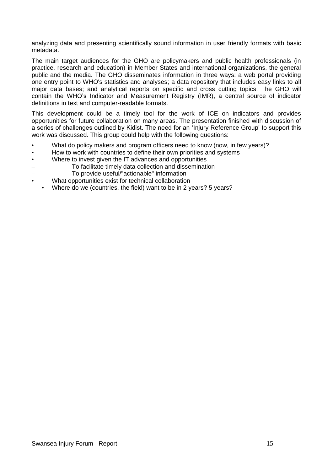analyzing data and presenting scientifically sound information in user friendly formats with basic metadata.

The main target audiences for the GHO are policymakers and public health professionals (in practice, research and education) in Member States and international organizations, the general public and the media. The GHO disseminates information in three ways: a web portal providing one entry point to WHO's statistics and analyses; a data repository that includes easy links to all major data bases; and analytical reports on specific and cross cutting topics. The GHO will contain the WHO"s Indicator and Measurement Registry (IMR), a central source of indicator definitions in text and computer-readable formats.

This development could be a timely tool for the work of ICE on indicators and provides opportunities for future collaboration on many areas. The presentation finished with discussion of a series of challenges outlined by Kidist. The need for an "Injury Reference Group" to support this work was discussed. This group could help with the following questions:

- What do policy makers and program officers need to know (now, in few years)?
- How to work with countries to define their own priorities and systems
- Where to invest given the IT advances and opportunities
- To facilitate timely data collection and dissemination
- To provide useful/"actionable" information
- What opportunities exist for technical collaboration
	- Where do we (countries, the field) want to be in 2 years? 5 years?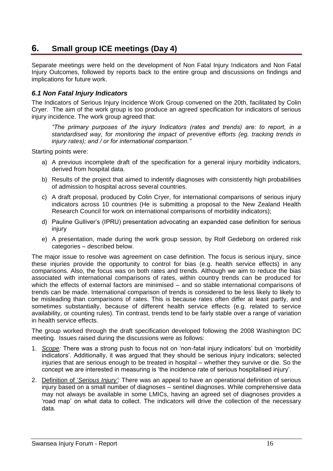### <span id="page-15-0"></span>**6. Small group ICE meetings (Day 4)**

Separate meetings were held on the development of Non Fatal Injury Indicators and Non Fatal Injury Outcomes, followed by reports back to the entire group and discussions on findings and implications for future work.

#### <span id="page-15-1"></span>*6.1 Non Fatal Injury Indicators*

The Indicators of Serious Injury Incidence Work Group convened on the 20th, facilitated by Colin Cryer. The aim of the work group is too produce an agreed specification for indicators of serious injury incidence. The work group agreed that:

*"The primary purposes of the injury Indicators (rates and trends) are: to report, in a standardised way, for monitoring the impact of preventive efforts (eg. tracking trends in injury rates); and / or for international comparison."*

Starting points were:

- a) A previous incomplete draft of the specification for a general injury morbidity indicators, derived from hospital data.
- b) Results of the project that aimed to indentify diagnoses with consistently high probabilities of admission to hospital across several countries.
- c) A draft proposal, produced by Colin Cryer, for international comparisons of serious injury indicators across 10 countries (He is submitting a proposal to the New Zealand Health Research Council for work on international comparisons of morbidity indicators);
- d) Pauline Gulliver"s (IPRU) presentation advocating an expanded case definition for serious injury
- e) A presentation, made during the work group session, by Rolf Gedeborg on ordered risk categories – described below.

The major issue to resolve was agreement on case definition. The focus is serious injury, since these injuries provide the opportunity to control for bias (e.g. health service effects) in any comparisons. Also, the focus was on both rates and trends. Although we aim to reduce the bias associated with international comparisons of rates, within country trends can be produced for which the effects of external factors are minimised – and so stable international comparisons of trends can be made. International comparison of trends is considered to be less likely to likely to be misleading than comparisons of rates. This is because rates often differ at least partly, and sometimes substantially, because of different health service effects (e.g. related to service availability, or counting rules). Tin contrast, trends tend to be fairly stable over a range of variation in health service effects.

The group worked through the draft specification developed following the 2008 Washington DC meeting. Issues raised during the discussions were as follows:

- 1. *Scope:* There was a strong push to focus not on "non-fatal injury indicators" but on "morbidity indicators'. Additionally, it was argued that they should be serious injury indicators; selected injuries that are serious enough to be treated in hospital – whether they survive or die. So the concept we are interested in measuring is "the incidence rate of serious hospitalised injury".
- 2. Definition of "*Serious Injury":* There was an appeal to have an operational definition of serious injury based on a small number of diagnoses – sentinel diagnoses. While comprehensive data may not always be available in some LMICs, having an agreed set of diagnoses provides a "road map" on what data to collect. The indicators will drive the collection of the necessary data.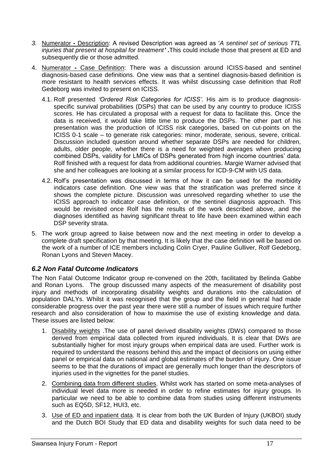- *3.* Numerator **-** Description: A revised Description was agreed as "*A sentinel set of serious TTL injuries that present at hospital for treatment' .*This could include those that present at ED and subsequently die or those admitted.
- 4. Numerator **-** Case Definition: There was a discussion around ICISS-based and sentinel diagnosis-based case definitions. One view was that a sentinel diagnosis-based definition is more resistant to health services effects. It was whilst discussing case definition that Rolf Gedeborg was invited to present on ICISS.
	- 4.1. Rolf presented *"Ordered Risk Categories for ICISS".* His aim is to produce diagnosisspecific survival probabilities (DSPs) that can be used by any country to produce ICISS scores. He has circulated a proposal with a request for data to facilitate this. Once the data is received, it would take little time to produce the DSPs. The other part of his presentation was the production of ICISS risk categories, based on cut-points on the ICISS 0-1 scale – to generate risk categories: minor, moderate, serious, severe, critical. Discussion included question around whether separate DSPs are needed for children, adults, older people, whether there is a need for weighted averages when producing combined DSPs, validity for LMICs of DSPs generated from high income countries" data. Rolf finished with a request for data from additional countries. Margie Warner advised that she and her colleagues are looking at a similar process for ICD-9-CM with US data.
	- 4.2. Rolf"s presentation was discussed in terms of how it can be used for the morbidity indicators case definition. One view was that the stratification was preferred since it shows the complete picture. Discussion was unresolved regarding whether to use the ICISS approach to indicator case definition, or the sentinel diagnosis approach. This would be revisited once Rolf has the results of the work described above, and the diagnoses identified as having significant threat to life have been examined within each DSP severity strata.
- 5. The work group agreed to liaise between now and the next meeting in order to develop a complete draft specification by that meeting. It is likely that the case definition will be based on the work of a number of ICE members including Colin Cryer, Pauline Gulliver, Rolf Gedeborg, Ronan Lyons and Steven Macey.

#### <span id="page-16-0"></span>*6.2 Non Fatal Outcome Indicators*

The Non Fatal Outcome Indicator group re-convened on the 20th, facilitated by Belinda Gabbe and Ronan Lyons. The group discussed many aspects of the measurement of disability post injury and methods of incorporating disability weights and durations into the calculation of population DALYs. Whilst it was recognised that the group and the field in general had made considerable progress over the past year there were still a number of issues which require further research and also consideration of how to maximise the use of existing knowledge and data. These issues are listed below:

- 1. Disability weights .The use of panel derived disability weights (DWs) compared to those derived from empirical data collected from injured individuals. It is clear that DWs are substantially higher for most injury groups when empirical data are used. Further work is required to understand the reasons behind this and the impact of decisions on using either panel or empirical data on national and global estimates of the burden of injury. One issue seems to be that the durations of impact are generally much longer than the descriptors of injuries used in the vignettes for the panel studies.
- 2. Combining data from different studies. Whilst work has started on some meta-analyses of individual level data more is needed in order to refine estimates for injury groups. In particular we need to be able to combine data from studies using different instruments such as EQ5D, SF12, HUI3, etc.
- 3. Use of ED and inpatient data. It is clear from both the UK Burden of Injury (UKBOI) study and the Dutch BOI Study that ED data and disability weights for such data need to be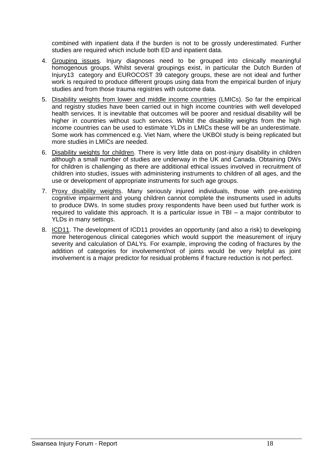combined with inpatient data if the burden is not to be grossly underestimated. Further studies are required which include both ED and inpatient data.

- 4. Grouping issues. Injury diagnoses need to be grouped into clinically meaningful homogenous groups. Whilst several groupings exist, in particular the Dutch Burden of Injury13 category and EUROCOST 39 category groups, these are not ideal and further work is required to produce different groups using data from the empirical burden of injury studies and from those trauma registries with outcome data.
- 5. Disability weights from lower and middle income countries (LMICs). So far the empirical and registry studies have been carried out in high income countries with well developed health services. It is inevitable that outcomes will be poorer and residual disability will be higher in countries without such services. Whilst the disability weights from the high income countries can be used to estimate YLDs in LMICs these will be an underestimate. Some work has commenced e.g. Viet Nam, where the UKBOI study is being replicated but more studies in LMICs are needed.
- 6. Disability weights for children. There is very little data on post-injury disability in children although a small number of studies are underway in the UK and Canada. Obtaining DWs for children is challenging as there are additional ethical issues involved in recruitment of children into studies, issues with administering instruments to children of all ages, and the use or development of appropriate instruments for such age groups.
- 7. Proxy disability weights. Many seriously injured individuals, those with pre-existing cognitive impairment and young children cannot complete the instruments used in adults to produce DWs. In some studies proxy respondents have been used but further work is required to validate this approach. It is a particular issue in TBI – a major contributor to YLDs in many settings.
- 8. ICD11. The development of ICD11 provides an opportunity (and also a risk) to developing more heterogenous clinical categories which would support the measurement of injury severity and calculation of DALYs. For example, improving the coding of fractures by the addition of categories for involvement/not of joints would be very helpful as joint involvement is a major predictor for residual problems if fracture reduction is not perfect.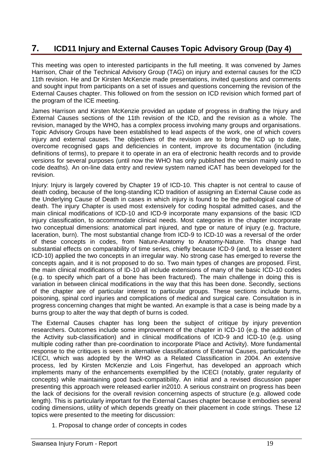# <span id="page-18-0"></span>**7. ICD11 Injury and External Causes Topic Advisory Group (Day 4)**

This meeting was open to interested participants in the full meeting. It was convened by James Harrison, Chair of the Technical Advisory Group (TAG) on injury and external causes for the ICD 11th revision. He and Dr Kirsten McKenzie made presentations, invited questions and comments and sought input from participants on a set of issues and questions concerning the revision of the External Causes chapter. This followed on from the session on ICD revision which formed part of the program of the ICE meeting.

James Harrison and Kirsten McKenzie provided an update of progress in drafting the Injury and External Causes sections of the 11th revision of the ICD, and the revision as a whole. The revision, managed by the WHO, has a complex process involving many groups and organisations. Topic Advisory Groups have been established to lead aspects of the work, one of which covers injury and external causes. The objectives of the revision are to bring the ICD up to date, overcome recognised gaps and deficiencies in content, improve its documentation (including definitions of terms), to prepare it to operate in an era of electronic health records and to provide versions for several purposes (until now the WHO has only published the version mainly used to code deaths). An on-line data entry and review system named iCAT has been developed for the revision.

Injury: Injury is largely covered by Chapter 19 of ICD-10. This chapter is not central to cause of death coding, because of the long-standing ICD tradition of assigning an External Cause code as the Underlying Cause of Death in cases in which injury is found to be the pathological cause of death. The injury Chapter is used most extensively for coding hospital admitted cases, and the main clinical modifications of ICD-10 and ICD-9 incorporate many expansions of the basic ICD injury classification, to accommodate clinical needs. Most categories in the chapter incorporate two conceptual dimensions: anatomical part injured, and type or nature of injury (e.g. fracture, laceration, burn). The most substantial change from ICD-9 to ICD-10 was a reversal of the order of these concepts in codes, from Nature-Anatomy to Anatomy-Nature. This change had substantial effects on comparability of time series, chiefly because ICD-9 (and, to a lesser extent ICD-10) applied the two concepts in an irregular way. No strong case has emerged to reverse the concepts again, and it is not proposed to do so. Two main types of changes are proposed. First, the main clinical modifications of ID-10 all include extensions of many of the basic ICD-10 codes (e.g. to specify which part of a bone has been fractured). The main challenge in doing this is variation in between clinical modifications in the way that this has been done. Secondly, sections of the chapter are of particular interest to particular groups. These sections include burns, poisoning, spinal cord injuries and complications of medical and surgical care. Consultation is in progress concerning changes that might be wanted. An example is that a case is being made by a burns group to alter the way that depth of burns is coded.

The External Causes chapter has long been the subject of critique by injury prevention researchers. Outcomes include some improvement of the chapter in ICD-10 (e.g. the addition of the Activity sub-classification) and in clinical modifications of ICD-9 and ICD-10 (e.g. using multiple coding rather than pre-coordination to incorporate Place and Activity). More fundamental response to the critiques is seen in alternative classifications of External Causes, particularly the ICECI, which was adopted by the WHO as a Related Classification in 2004. An extensive process, led by Kirsten McKenzie and Lois Fingerhut, has developed an approach which implements many of the enhancements exemplified by the ICECI (notably, grater regularity of concepts) while maintaining good back-compatibility. An initial and a revised discussion paper presenting this approach were released earlier in2010. A serious constraint on progress has been the lack of decisions for the overall revision concerning aspects of structure (e.g. allowed code length). This is particularly important for the External Causes chapter because it embodies several coding dimensions, utility of which depends greatly on their placement in code strings. These 12 topics were presented to the meeting for discussion:

1. Proposal to change order of concepts in codes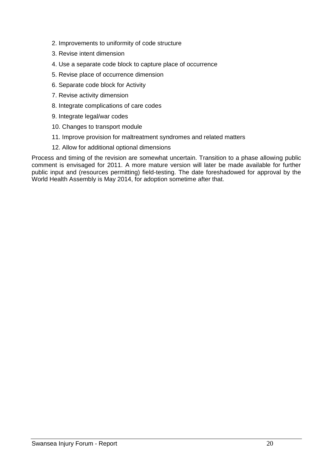- 2. Improvements to uniformity of code structure
- 3. Revise intent dimension
- 4. Use a separate code block to capture place of occurrence
- 5. Revise place of occurrence dimension
- 6. Separate code block for Activity
- 7. Revise activity dimension
- 8. Integrate complications of care codes
- 9. Integrate legal/war codes
- 10. Changes to transport module
- 11. Improve provision for maltreatment syndromes and related matters
- 12. Allow for additional optional dimensions

Process and timing of the revision are somewhat uncertain. Transition to a phase allowing public comment is envisaged for 2011. A more mature version will later be made available for further public input and (resources permitting) field-testing. The date foreshadowed for approval by the World Health Assembly is May 2014, for adoption sometime after that.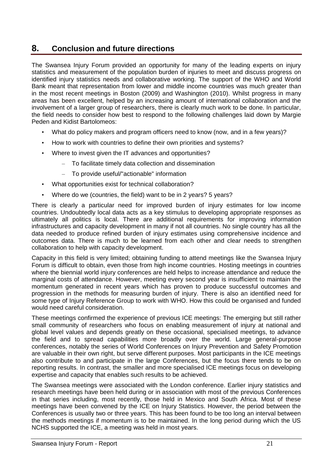### <span id="page-20-0"></span>**8. Conclusion and future directions**

The Swansea Injury Forum provided an opportunity for many of the leading experts on injury statistics and measurement of the population burden of injuries to meet and discuss progress on identified injury statistics needs and collaborative working. The support of the WHO and World Bank meant that representation from lower and middle income countries was much greater than in the most recent meetings in Boston (2009) and Washington (2010). Whilst progress in many areas has been excellent, helped by an increasing amount of international collaboration and the involvement of a larger group of researchers, there is clearly much work to be done. In particular, the field needs to consider how best to respond to the following challenges laid down by Margie Peden and Kidist Bartolomeos:

- What do policy makers and program officers need to know (now, and in a few years)?
- How to work with countries to define their own priorities and systems?
- Where to invest given the IT advances and opportunities?
	- To facilitate timely data collection and dissemination
	- To provide useful/"actionable" information
- What opportunities exist for technical collaboration?
- Where do we (countries, the field) want to be in 2 years? 5 years?

There is clearly a particular need for improved burden of injury estimates for low income countries. Undoubtedly local data acts as a key stimulus to developing appropriate responses as ultimately all politics is local. There are additional requirements for improving information infrastructures and capacity development in many if not all countries. No single country has all the data needed to produce refined burden of injury estimates using comprehensive incidence and outcomes data. There is much to be learned from each other and clear needs to strengthen collaboration to help with capacity development.

Capacity in this field is very limited; obtaining funding to attend meetings like the Swansea Injury Forum is difficult to obtain, even those from high income countries. Hosting meetings in countries where the biennial world injury conferences are held helps to increase attendance and reduce the marginal costs of attendance. However, meeting every second year is insufficient to maintain the momentum generated in recent years which has proven to produce successful outcomes and progression in the methods for measuring burden of injury. There is also an identified need for some type of Injury Reference Group to work with WHO. How this could be organised and funded would need careful consideration.

These meetings confirmed the experience of previous ICE meetings: The emerging but still rather small community of researchers who focus on enabling measurement of injury at national and global level values and depends greatly on these occasional, specialised meetings, to advance the field and to spread capabilities more broadly over the world. Large general-purpose conferences, notably the series of World Conferences on Injury Prevention and Safety Promotion are valuable in their own right, but serve different purposes. Most participants in the ICE meetings also contribute to and participate in the large Conferences, but the focus there tends to be on reporting results. In contrast, the smaller and more specialised ICE meetings focus on developing expertise and capacity that enables such results to be achieved.

The Swansea meetings were associated with the London conference. Earlier injury statistics and research meetings have been held during or in association with most of the previous Conferences in that series including, most recently, those held in Mexico and South Africa. Most of these meetings have been convened by the ICE on Injury Statistics. However, the period between the Conferences is usually two or three years. This has been found to be too long an interval between the methods meetings if momentum is to be maintained. In the long period during which the US NCHS supported the ICE, a meeting was held in most years.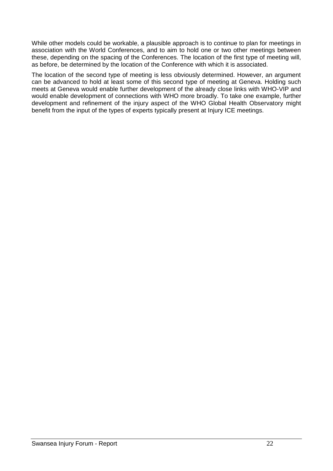While other models could be workable, a plausible approach is to continue to plan for meetings in association with the World Conferences, and to aim to hold one or two other meetings between these, depending on the spacing of the Conferences. The location of the first type of meeting will, as before, be determined by the location of the Conference with which it is associated.

The location of the second type of meeting is less obviously determined. However, an argument can be advanced to hold at least some of this second type of meeting at Geneva. Holding such meets at Geneva would enable further development of the already close links with WHO-VIP and would enable development of connections with WHO more broadly. To take one example, further development and refinement of the injury aspect of the WHO Global Health Observatory might benefit from the input of the types of experts typically present at Injury ICE meetings.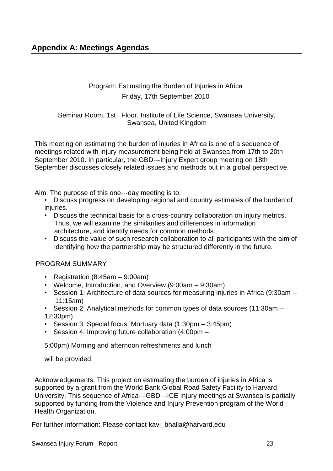<span id="page-22-0"></span>Program: Estimating the Burden of Injuries in Africa Friday, 17th September 2010

Seminar Room, 1st Floor, Institute of Life Science, Swansea University, Swansea, United Kingdom

This meeting on estimating the burden of injuries in Africa is one of a sequence of meetings related with injury measurement being held at Swansea from 17th to 20th September 2010. In particular, the GBD---Injury Expert group meeting on 18th September discusses closely related issues and methods but in a global perspective.

Aim: The purpose of this one--‐day meeting is to:

- Discuss progress on developing regional and country estimates of the burden of injuries.
- Discuss the technical basis for a cross-country collaboration on injury metrics. Thus, we will examine the similarities and differences in information architecture, and identify needs for common methods.
- Discuss the value of such research collaboration to all participants with the aim of identifying how the partnership may be structured differently in the future.

#### PROGRAM SUMMARY

- Registration (8:45am 9:00am)
- Welcome, Introduction, and Overview (9:00am 9:30am)
- Session 1: Architecture of data sources for measuring injuries in Africa (9:30am 11:15am)
- Session 2: Analytical methods for common types of data sources (11:30am 12:30pm)
- Session 3: Special focus: Mortuary data (1:30pm 3:45pm)
- Session 4: Improving future collaboration (4:00pm –

5:00pm) Morning and afternoon refreshments and lunch

will be provided.

Acknowledgements: This project on estimating the burden of injuries in Africa is supported by a grant from the World Bank Global Road Safety Facility to Harvard University. This sequence of Africa---GBD---ICE Injury meetings at Swansea is partially supported by funding from the Violence and Injury Prevention program of the World Health Organization.

For further information: Please contact [kavi\\_bhalla@harvard.edu](mailto:kavi_bhalla@harvard.edu)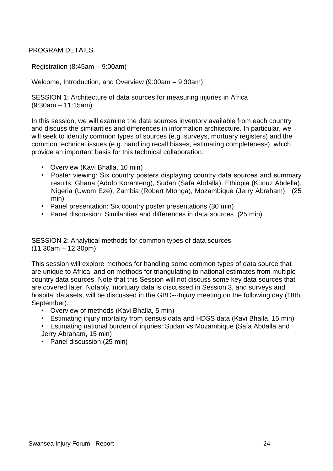### PROGRAM DETAILS

Registration (8:45am – 9:00am)

Welcome, Introduction, and Overview (9:00am – 9:30am)

SESSION 1: Architecture of data sources for measuring injuries in Africa (9:30am – 11:15am)

In this session, we will examine the data sources inventory available from each country and discuss the similarities and differences in information architecture. In particular, we will seek to identify common types of sources (e.g. surveys, mortuary registers) and the common technical issues (e.g. handling recall biases, estimating completeness), which provide an important basis for this technical collaboration.

- Overview (Kavi Bhalla, 10 min)
- Poster viewing: Six country posters displaying country data sources and summary results: Ghana (Adofo Koranteng), Sudan (Safa Abdalla), Ethiopia (Kunuz Abdella), Nigeria (Uwom Eze), Zambia (Robert Mtonga), Mozambique (Jerry Abraham) (25 min)
- Panel presentation: Six country poster presentations (30 min)
- Panel discussion: Similarities and differences in data sources (25 min)

SESSION 2: Analytical methods for common types of data sources (11:30am – 12:30pm)

This session will explore methods for handling some common types of data source that are unique to Africa, and on methods for triangulating to national estimates from multiple country data sources. Note that this Session will not discuss some key data sources that are covered later. Notably, mortuary data is discussed in Session 3, and surveys and hospital datasets, will be discussed in the GBD---Injury meeting on the following day (18th September).

- Overview of methods (Kavi Bhalla, 5 min)
- Estimating injury mortality from census data and HDSS data (Kavi Bhalla, 15 min)
- Estimating national burden of injuries: Sudan vs Mozambique (Safa Abdalla and Jerry Abraham, 15 min)
- Panel discussion (25 min)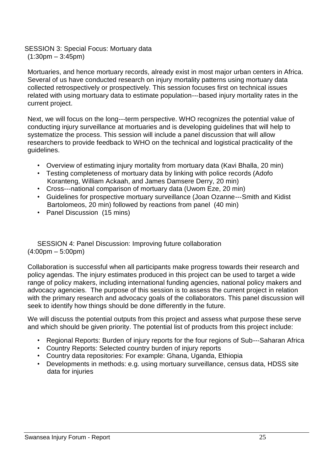SESSION 3: Special Focus: Mortuary data  $(1:30pm - 3:45pm)$ 

Mortuaries, and hence mortuary records, already exist in most major urban centers in Africa. Several of us have conducted research on injury mortality patterns using mortuary data collected retrospectively or prospectively. This session focuses first on technical issues related with using mortuary data to estimate population--‐based injury mortality rates in the current project.

Next, we will focus on the long---term perspective. WHO recognizes the potential value of conducting injury surveillance at mortuaries and is developing guidelines that will help to systematize the process. This session will include a panel discussion that will allow researchers to provide feedback to WHO on the technical and logistical practicality of the guidelines.

- Overview of estimating injury mortality from mortuary data (Kavi Bhalla, 20 min)
- Testing completeness of mortuary data by linking with police records (Adofo Koranteng, William Ackaah, and James Damsere Derry, 20 min)
- Cross---national comparison of mortuary data (Uwom Eze, 20 min)
- Guidelines for prospective mortuary surveillance (Joan Ozanne--‐Smith and Kidist Bartolomeos, 20 min) followed by reactions from panel (40 min)
- Panel Discussion (15 mins)

SESSION 4: Panel Discussion: Improving future collaboration (4:00pm – 5:00pm)

Collaboration is successful when all participants make progress towards their research and policy agendas. The injury estimates produced in this project can be used to target a wide range of policy makers, including international funding agencies, national policy makers and advocacy agencies. The purpose of this session is to assess the current project in relation with the primary research and advocacy goals of the collaborators. This panel discussion will seek to identify how things should be done differently in the future.

We will discuss the potential outputs from this project and assess what purpose these serve and which should be given priority. The potential list of products from this project include:

- Regional Reports: Burden of injury reports for the four regions of Sub---Saharan Africa
- Country Reports: Selected country burden of injury reports
- Country data repositories: For example: Ghana, Uganda, Ethiopia
- Developments in methods: e.g. using mortuary surveillance, census data, HDSS site data for injuries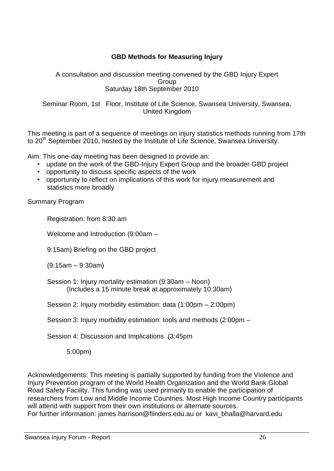### **GBD Methods for Measuring Injury**

A consultation and discussion meeting convened by the GBD Injury Expert Group Saturday 18th September 2010

Seminar Room, 1st Floor, Institute of Life Science, Swansea University, Swansea, United Kingdom

This meeting is part of a sequence of meetings on injury statistics methods running from 17th to 20<sup>th</sup> September 2010, hosted by the Institute of Life Science, Swansea University.

Aim: This one-day meeting has been designed to provide an:

- update on the work of the GBD-Injury Expert Group and the broader GBD project
- opportunity to discuss specific aspects of the work
- opportunity to reflect on implications of this work for injury measurement and statistics more broadly

Summary Program

Registration: from 8:30 am

Welcome and Introduction (9:00am –

9:15am) Briefing on the GBD project

(9:15am – 9:30am)

Session 1: Injury mortality estimation (9:30am – Noon) (Includes a 15 minute break at approximately 10:30am)

Session 2: Injury morbidity estimation: data (1:00pm – 2:00pm)

Session 3: Injury morbidity estimation: tools and methods (2:00pm –

Session 4: Discussion and Implications (3:45pm

5:00pm)

Acknowledgements: This meeting is partially supported by funding from the Violence and Injury Prevention program of the World Health Organization and the World Bank Global Road Safety Facility. This funding was used primarily to enable the participation of researchers from Low and Middle Income Countries. Most High Income Country participants will attend with support from their own institutions or alternate sources. For further information: jame[s.harrison@flinders.edu.au](mailto:harrison@flinders.edu.au) or [kavi\\_bhalla@harvard.edu](mailto:kavi_bhalla@harvard.edu)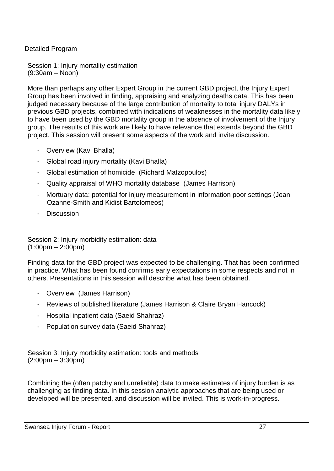Detailed Program

Session 1: Injury mortality estimation (9:30am – Noon)

More than perhaps any other Expert Group in the current GBD project, the Injury Expert Group has been involved in finding, appraising and analyzing deaths data. This has been judged necessary because of the large contribution of mortality to total injury DALYs in previous GBD projects, combined with indications of weaknesses in the mortality data likely to have been used by the GBD mortality group in the absence of involvement of the Injury group. The results of this work are likely to have relevance that extends beyond the GBD project. This session will present some aspects of the work and invite discussion.

- Overview (Kavi Bhalla)
- Global road injury mortality (Kavi Bhalla)
- Global estimation of homicide (Richard Matzopoulos)
- Quality appraisal of WHO mortality database (James Harrison)
- Mortuary data: potential for injury measurement in information poor settings (Joan Ozanne-Smith and Kidist Bartolomeos)
- Discussion

Session 2: Injury morbidity estimation: data  $(1:00 \text{pm} - 2:00 \text{pm})$ 

Finding data for the GBD project was expected to be challenging. That has been confirmed in practice. What has been found confirms early expectations in some respects and not in others. Presentations in this session will describe what has been obtained.

- Overview (James Harrison)
- Reviews of published literature (James Harrison & Claire Bryan Hancock)
- Hospital inpatient data (Saeid Shahraz)
- Population survey data (Saeid Shahraz)

Session 3: Injury morbidity estimation: tools and methods (2:00pm – 3:30pm)

Combining the (often patchy and unreliable) data to make estimates of injury burden is as challenging as finding data. In this session analytic approaches that are being used or developed will be presented, and discussion will be invited. This is work-in-progress.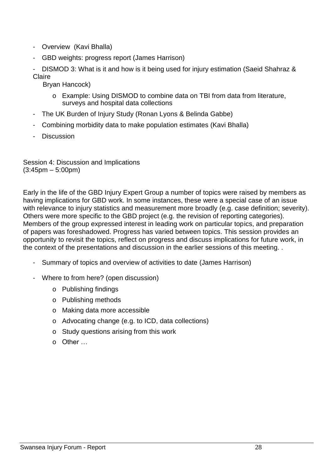- Overview (Kavi Bhalla)
- GBD weights: progress report (James Harrison)

DISMOD 3: What is it and how is it being used for injury estimation (Saeid Shahraz & **Claire** 

Bryan Hancock)

- o Example: Using DISMOD to combine data on TBI from data from literature, surveys and hospital data collections
- The UK Burden of Injury Study (Ronan Lyons & Belinda Gabbe)
- Combining morbidity data to make population estimates (Kavi Bhalla)
- Discussion

Session 4: Discussion and Implications  $(3:45pm - 5:00pm)$ 

Early in the life of the GBD Injury Expert Group a number of topics were raised by members as having implications for GBD work. In some instances, these were a special case of an issue with relevance to injury statistics and measurement more broadly (e.g. case definition; severity). Others were more specific to the GBD project (e.g. the revision of reporting categories). Members of the group expressed interest in leading work on particular topics, and preparation of papers was foreshadowed. Progress has varied between topics. This session provides an opportunity to revisit the topics, reflect on progress and discuss implications for future work, in the context of the presentations and discussion in the earlier sessions of this meeting. .

- Summary of topics and overview of activities to date (James Harrison)
- Where to from here? (open discussion)
	- o Publishing findings
	- o Publishing methods
	- o Making data more accessible
	- o Advocating change (e.g. to ICD, data collections)
	- o Study questions arising from this work
	- o Other …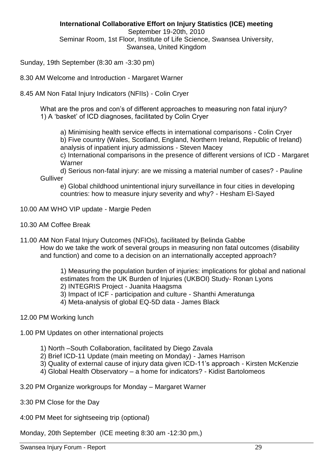**International Collaborative Effort on Injury Statistics (ICE) meeting** September 19-20th, 2010 Seminar Room, 1st Floor, Institute of Life Science, Swansea University, Swansea, United Kingdom

Sunday, 19th September (8:30 am -3:30 pm)

8.30 AM Welcome and Introduction - Margaret Warner

8.45 AM Non Fatal Injury Indicators (NFIIs) - Colin Cryer

What are the pros and con's of different approaches to measuring non fatal injury? 1) A "basket" of ICD diagnoses, facilitated by Colin Cryer

a) Minimising health service effects in international comparisons - Colin Cryer b) Five country (Wales, Scotland, England, Northern Ireland, Republic of Ireland) analysis of inpatient injury admissions - Steven Macey

c) International comparisons in the presence of different versions of ICD - Margaret Warner

d) Serious non-fatal injury: are we missing a material number of cases? - Pauline **Gulliver** 

e) Global childhood unintentional injury surveillance in four cities in developing countries: how to measure injury severity and why? - Hesham El-Sayed

- 10.00 AM WHO VIP update Margie Peden
- 10.30 AM Coffee Break
- 11.00 AM Non Fatal Injury Outcomes (NFIOs), facilitated by Belinda Gabbe How do we take the work of several groups in measuring non fatal outcomes (disability and function) and come to a decision on an internationally accepted approach?

1) Measuring the population burden of injuries: implications for global and national estimates from the UK Burden of Injuries (UKBOI) Study- Ronan Lyons 2) INTEGRIS Project - Juanita Haagsma

3) Impact of ICF - participation and culture - Shanthi Ameratunga

4) Meta-analysis of global EQ-5D data - James Black

- 12.00 PM Working lunch
- 1.00 PM Updates on other international projects
	- 1) North –South Collaboration, facilitated by Diego Zavala
	- 2) Brief ICD-11 Update (main meeting on Monday) James Harrison
	- 3) Quality of external cause of injury data given ICD-11"s approach Kirsten McKenzie
	- 4) Global Health Observatory a home for indicators? Kidist Bartolomeos
- 3.20 PM Organize workgroups for Monday Margaret Warner
- 3:30 PM Close for the Day
- 4:00 PM Meet for sightseeing trip (optional)

Monday, 20th September (ICE meeting 8:30 am -12:30 pm,)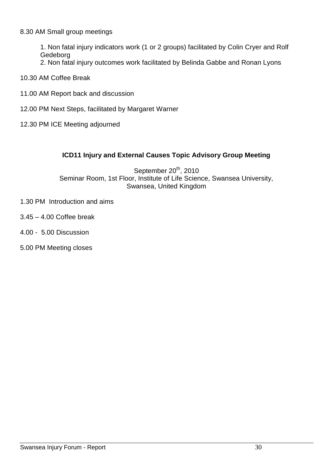#### 8.30 AM Small group meetings

1. Non fatal injury indicators work (1 or 2 groups) facilitated by Colin Cryer and Rolf Gedeborg

- 2. Non fatal injury outcomes work facilitated by Belinda Gabbe and Ronan Lyons
- 10.30 AM Coffee Break
- 11.00 AM Report back and discussion
- 12.00 PM Next Steps, facilitated by Margaret Warner
- 12.30 PM ICE Meeting adjourned

### **ICD11 Injury and External Causes Topic Advisory Group Meeting**

September 20<sup>th</sup>, 2010 Seminar Room, 1st Floor, Institute of Life Science, Swansea University, Swansea, United Kingdom

- 1.30 PM Introduction and aims
- 3.45 4.00 Coffee break
- 4.00 5.00 Discussion
- 5.00 PM Meeting closes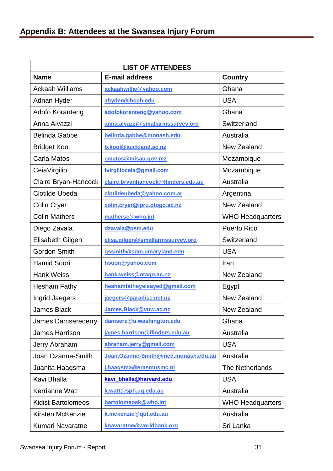<span id="page-30-0"></span>

| <b>LIST OF ATTENDEES</b>  |                                     |                         |  |  |  |
|---------------------------|-------------------------------------|-------------------------|--|--|--|
| <b>Name</b>               | <b>E-mail address</b>               | Country                 |  |  |  |
| <b>Ackaah Williams</b>    | ackaahwillie@yahoo.com              | Ghana                   |  |  |  |
| Adnan Hyder               | ahyder@jhsph.edu                    | <b>USA</b>              |  |  |  |
| Adofo Koranteng           | adofokoranteng@yahoo.com            | Ghana                   |  |  |  |
| Anna Alvazzi              | anna.alvazzi@smallarmssurvey.org    | Switzerland             |  |  |  |
| <b>Belinda Gabbe</b>      | belinda.gabbe@monash.edu            | Australia               |  |  |  |
| <b>Bridget Kool</b>       | b.kool@auckland.ac.nz               | New Zealand             |  |  |  |
| Carla Matos               | cmatos@misau.gov.mz                 | Mozambique              |  |  |  |
| CeiaVirgilio              | fvirgilioceia@gmail.com             | Mozambique              |  |  |  |
| Claire Bryan-Hancock      | claire.bryanhancock@flinders.edu.au | Australia               |  |  |  |
| <b>Clotilde Ubeda</b>     | clotildeubeda@yahoo.com.ar          | Argentina               |  |  |  |
| <b>Colin Cryer</b>        | colin.cryer@ipru.otogo.ac.nz        | <b>New Zealand</b>      |  |  |  |
| <b>Colin Mathers</b>      | mathersc@who.int                    | <b>WHO Headquarters</b> |  |  |  |
| Diego Zavala              | dzavala@psm.edu                     | <b>Puerto Rico</b>      |  |  |  |
| Elisabeth Gilgen          | elisa.gilgen@smallarmssurvey.org    | Switzerland             |  |  |  |
| <b>Gordon Smith</b>       | gssmith@som.umaryland.edu           | <b>USA</b>              |  |  |  |
| <b>Hamid Soori</b>        | hsoori@yahoo.com                    | Iran                    |  |  |  |
| <b>Hank Weiss</b>         | hank.weiss@otago.ac.nz              | New Zealand             |  |  |  |
| <b>Hesham Fathy</b>       | heshamfatheyelsayed@gmail.com       | Egypt                   |  |  |  |
| Ingrid Jaegers            | jaegers@paradise.net.nz             | <b>New Zealand</b>      |  |  |  |
| James Black               | James.Black@vuw.ac.nz               | New Zealand             |  |  |  |
| <b>James Damserederry</b> | damsere@u.washington.edu            | Ghana                   |  |  |  |
| <b>James Harrison</b>     | james.harrison@flinders.edu.au      | Australia               |  |  |  |
| Jerry Abraham             | abraham.jerry@gmail.com             | <b>USA</b>              |  |  |  |
| Joan Ozanne-Smith         | Joan.Ozanne-Smith@med.monash.edu.au | Australia               |  |  |  |
| Juanita Haagsma           | j.haagsma@erasmusmc.nl              | The Netherlands         |  |  |  |
| Kavi Bhalla               | kavi bhalla@harvard.edu             | <b>USA</b>              |  |  |  |
| <b>Kerrianne Watt</b>     | k.watt@sph.uq.edu.au                | Australia               |  |  |  |
| <b>Kidist Bartolomeos</b> | bartolomeosk@who.int                | <b>WHO Headquarters</b> |  |  |  |
| Kirsten McKenzie          | k.mckenzie@qut.edu.au               | Australia               |  |  |  |
| <b>Kumari Navaratne</b>   | knavaratne@worldbank.org            | Sri Lanka               |  |  |  |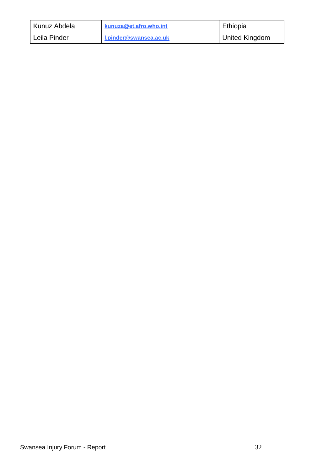| Kunuz Abdela | kunuza@et.afro.who.int | Ethiopia              |
|--------------|------------------------|-----------------------|
| Leila Pinder | I.pinder@swansea.ac.uk | <b>United Kingdom</b> |